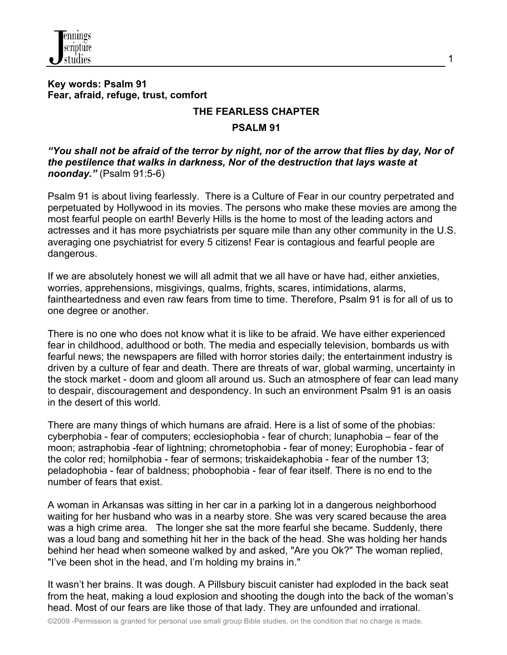

### **Key words: Psalm 91 Fear, afraid, refuge, trust, comfort**

### **THE FEARLESS CHAPTER**

1

#### **PSALM 91**

*"You shall not be afraid of the terror by night, nor of the arrow that flies by day, Nor of the pestilence that walks in darkness, Nor of the destruction that lays waste at noonday."* (Psalm 91:5-6)

Psalm 91 is about living fearlessly. There is a Culture of Fear in our country perpetrated and perpetuated by Hollywood in its movies. The persons who make these movies are among the most fearful people on earth! Beverly Hills is the home to most of the leading actors and actresses and it has more psychiatrists per square mile than any other community in the U.S. averaging one psychiatrist for every 5 citizens! Fear is contagious and fearful people are dangerous.

If we are absolutely honest we will all admit that we all have or have had, either anxieties, worries, apprehensions, misgivings, qualms, frights, scares, intimidations, alarms, faintheartedness and even raw fears from time to time. Therefore, Psalm 91 is for all of us to one degree or another.

There is no one who does not know what it is like to be afraid. We have either experienced fear in childhood, adulthood or both. The media and especially television, bombards us with fearful news; the newspapers are filled with horror stories daily; the entertainment industry is driven by a culture of fear and death. There are threats of war, global warming, uncertainty in the stock market - doom and gloom all around us. Such an atmosphere of fear can lead many to despair, discouragement and despondency. In such an environment Psalm 91 is an oasis in the desert of this world.

There are many things of which humans are afraid. Here is a list of some of the phobias: cyberphobia - fear of computers; ecclesiophobia - fear of church; lunaphobia – fear of the moon; astraphobia -fear of lightning; chrometophobia - fear of money; Europhobia - fear of the color red; homilphobia - fear of sermons; triskaidekaphobia - fear of the number 13; peladophobia - fear of baldness; phobophobia - fear of fear itself. There is no end to the number of fears that exist.

A woman in Arkansas was sitting in her car in a parking lot in a dangerous neighborhood waiting for her husband who was in a nearby store. She was very scared because the area was a high crime area. The longer she sat the more fearful she became. Suddenly, there was a loud bang and something hit her in the back of the head. She was holding her hands behind her head when someone walked by and asked, "Are you Ok?" The woman replied, "I've been shot in the head, and I'm holding my brains in."

It wasn't her brains. It was dough. A Pillsbury biscuit canister had exploded in the back seat from the heat, making a loud explosion and shooting the dough into the back of the woman's head. Most of our fears are like those of that lady. They are unfounded and irrational.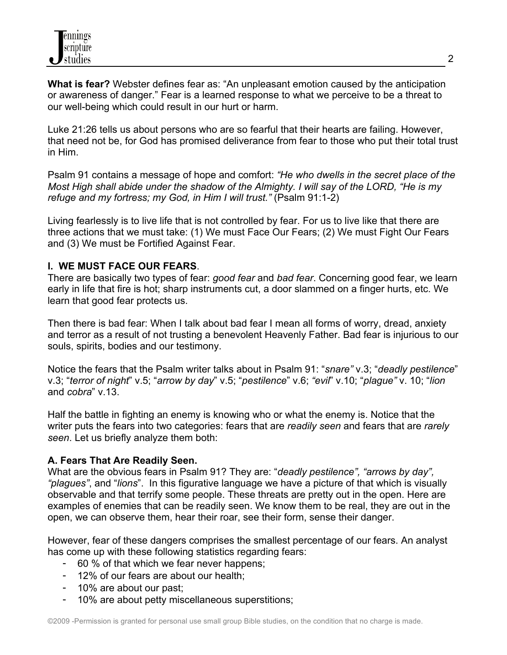**What is fear?** Webster defines fear as: "An unpleasant emotion caused by the anticipation or awareness of danger." Fear is a learned response to what we perceive to be a threat to our well-being which could result in our hurt or harm.

Luke 21:26 tells us about persons who are so fearful that their hearts are failing. However, that need not be, for God has promised deliverance from fear to those who put their total trust in Him.

Psalm 91 contains a message of hope and comfort: *"He who dwells in the secret place of the Most High shall abide under the shadow of the Almighty. I will say of the LORD, "He is my refuge and my fortress; my God, in Him I will trust."* (Psalm 91:1-2)

Living fearlessly is to live life that is not controlled by fear. For us to live like that there are three actions that we must take: (1) We must Face Our Fears; (2) We must Fight Our Fears and (3) We must be Fortified Against Fear.

## **I. WE MUST FACE OUR FEARS**.

There are basically two types of fear: *good fear* and *bad fear*. Concerning good fear, we learn early in life that fire is hot; sharp instruments cut, a door slammed on a finger hurts, etc. We learn that good fear protects us.

Then there is bad fear: When I talk about bad fear I mean all forms of worry, dread, anxiety and terror as a result of not trusting a benevolent Heavenly Father. Bad fear is injurious to our souls, spirits, bodies and our testimony.

Notice the fears that the Psalm writer talks about in Psalm 91: "*snare"* v.3; "*deadly pestilence*" v.3; "*terror of night*" v.5; "*arrow by day*" v.5; "*pestilence*" v.6; *"evil*" v.10; "*plague"* v. 10; "*lion* and *cobra*" v.13.

Half the battle in fighting an enemy is knowing who or what the enemy is. Notice that the writer puts the fears into two categories: fears that are *readily seen* and fears that are *rarely seen*. Let us briefly analyze them both:

## **A. Fears That Are Readily Seen.**

What are the obvious fears in Psalm 91? They are: "*deadly pestilence", "arrows by day", "plagues"*, and "*lions*". In this figurative language we have a picture of that which is visually observable and that terrify some people. These threats are pretty out in the open. Here are examples of enemies that can be readily seen. We know them to be real, they are out in the open, we can observe them, hear their roar, see their form, sense their danger.

However, fear of these dangers comprises the smallest percentage of our fears. An analyst has come up with these following statistics regarding fears:

- 60 % of that which we fear never happens;
- 12% of our fears are about our health;
- 10% are about our past;
- 10% are about petty miscellaneous superstitions;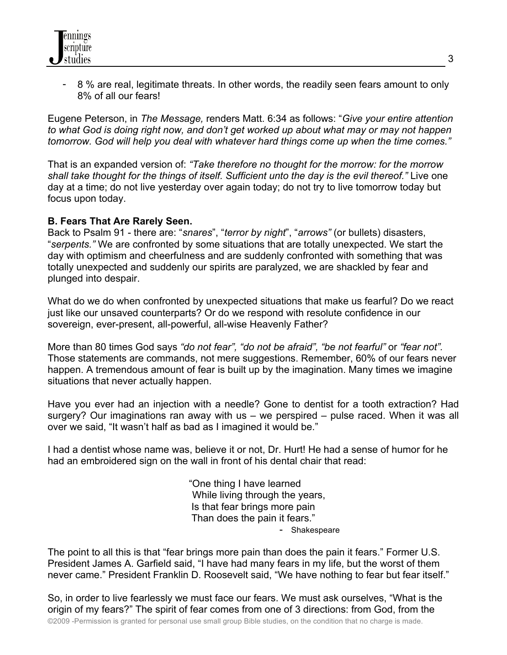- 8 % are real, legitimate threats. In other words, the readily seen fears amount to only 8% of all our fears!

Eugene Peterson, in *The Message,* renders Matt. 6:34 as follows: "*Give your entire attention to what God is doing right now, and don't get worked up about what may or may not happen tomorrow. God will help you deal with whatever hard things come up when the time comes."*

That is an expanded version of: *"Take therefore no thought for the morrow: for the morrow shall take thought for the things of itself. Sufficient unto the day is the evil thereof."* Live one day at a time; do not live yesterday over again today; do not try to live tomorrow today but focus upon today.

### **B. Fears That Are Rarely Seen.**

Back to Psalm 91 - there are: "*snares*", "*terror by night*", "*arrows"* (or bullets) disasters, "*serpents."* We are confronted by some situations that are totally unexpected. We start the day with optimism and cheerfulness and are suddenly confronted with something that was totally unexpected and suddenly our spirits are paralyzed, we are shackled by fear and plunged into despair.

What do we do when confronted by unexpected situations that make us fearful? Do we react just like our unsaved counterparts? Or do we respond with resolute confidence in our sovereign, ever-present, all-powerful, all-wise Heavenly Father?

More than 80 times God says *"do not fear", "do not be afraid", "be not fearful"* or *"fear not".* Those statements are commands, not mere suggestions. Remember, 60% of our fears never happen. A tremendous amount of fear is built up by the imagination. Many times we imagine situations that never actually happen.

Have you ever had an injection with a needle? Gone to dentist for a tooth extraction? Had surgery? Our imaginations ran away with us – we perspired – pulse raced. When it was all over we said, "It wasn't half as bad as I imagined it would be."

I had a dentist whose name was, believe it or not, Dr. Hurt! He had a sense of humor for he had an embroidered sign on the wall in front of his dental chair that read:

> "One thing I have learned While living through the years, Is that fear brings more pain Than does the pain it fears." - Shakespeare

The point to all this is that "fear brings more pain than does the pain it fears." Former U.S. President James A. Garfield said, "I have had many fears in my life, but the worst of them never came." President Franklin D. Roosevelt said, "We have nothing to fear but fear itself."

©2009 -Permission is granted for personal use small group Bible studies, on the condition that no charge is made. So, in order to live fearlessly we must face our fears. We must ask ourselves, "What is the origin of my fears?" The spirit of fear comes from one of 3 directions: from God, from the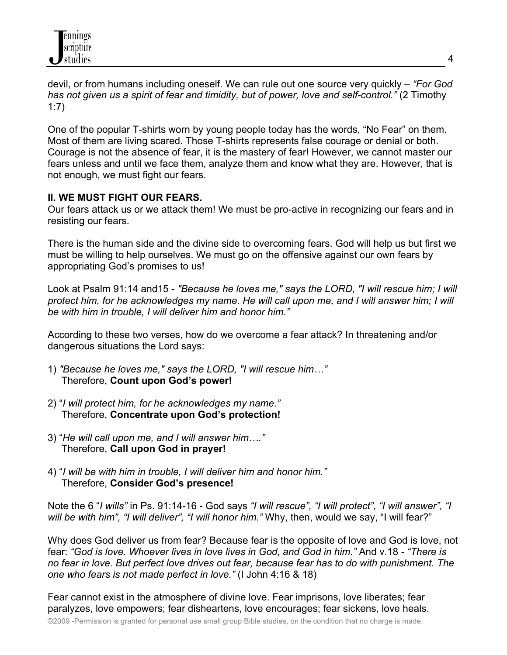

devil, or from humans including oneself. We can rule out one source very quickly – *"For God has not given us a spirit of fear and timidity, but of power, love and self-control."* (2 Timothy 1:7)

One of the popular T-shirts worn by young people today has the words, "No Fear" on them. Most of them are living scared. Those T-shirts represents false courage or denial or both. Courage is not the absence of fear, it is the mastery of fear! However, we cannot master our fears unless and until we face them, analyze them and know what they are. However, that is not enough, we must fight our fears.

### **II. WE MUST FIGHT OUR FEARS.**

Our fears attack us or we attack them! We must be pro-active in recognizing our fears and in resisting our fears.

There is the human side and the divine side to overcoming fears. God will help us but first we must be willing to help ourselves. We must go on the offensive against our own fears by appropriating God's promises to us!

Look at Psalm 91:14 and15 - *"Because he loves me," says the LORD, "I will rescue him; I will*  protect him, for he acknowledges my name. He will call upon me, and I will answer him; I will *be with him in trouble, I will deliver him and honor him."*

According to these two verses, how do we overcome a fear attack? In threatening and/or dangerous situations the Lord says:

- 1) *"Because he loves me," says the LORD, "I will rescue him…"* Therefore, **Count upon God's power!**
- 2) "*I will protect him, for he acknowledges my name."* Therefore, **Concentrate upon God's protection!**
- 3) "*He will call upon me, and I will answer him…."* Therefore, **Call upon God in prayer!**
- 4) "*I will be with him in trouble, I will deliver him and honor him."* Therefore, **Consider God's presence!**

Note the 6 "*I wills"* in Ps. 91:14-16 - God says *"I will rescue", "I will protect", "I will answer", "I will be with him", "I will deliver", "I will honor him."* Why, then, would we say, "I will fear?"

Why does God deliver us from fear? Because fear is the opposite of love and God is love, not fear: *"God is love. Whoever lives in love lives in God, and God in him."* And v.18 *- "There is no fear in love. But perfect love drives out fear, because fear has to do with punishment. The one who fears is not made perfect in love."* (I John 4:16 & 18)

Fear cannot exist in the atmosphere of divine love. Fear imprisons, love liberates; fear paralyzes, love empowers; fear disheartens, love encourages; fear sickens, love heals.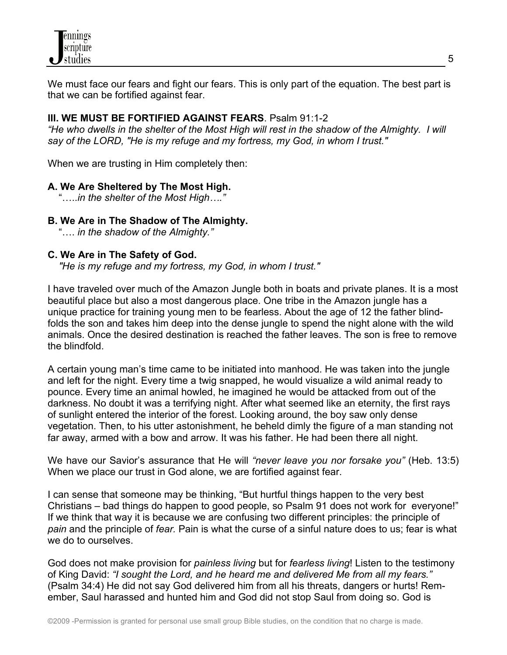We must face our fears and fight our fears. This is only part of the equation. The best part is that we can be fortified against fear.

# **III. WE MUST BE FORTIFIED AGAINST FEARS**. Psalm 91:1-2

*"He who dwells in the shelter of the Most High will rest in the shadow of the Almighty. I will say of the LORD, "He is my refuge and my fortress, my God, in whom I trust."* 

When we are trusting in Him completely then:

## **A. We Are Sheltered by The Most High.**

"…..*in the shelter of the Most High…."*

## **B. We Are in The Shadow of The Almighty.**

"…. *in the shadow of the Almighty."*

## **C. We Are in The Safety of God.**

*"He is my refuge and my fortress, my God, in whom I trust."* 

I have traveled over much of the Amazon Jungle both in boats and private planes. It is a most beautiful place but also a most dangerous place. One tribe in the Amazon jungle has a unique practice for training young men to be fearless. About the age of 12 the father blindfolds the son and takes him deep into the dense jungle to spend the night alone with the wild animals. Once the desired destination is reached the father leaves. The son is free to remove the blindfold.

A certain young man's time came to be initiated into manhood. He was taken into the jungle and left for the night. Every time a twig snapped, he would visualize a wild animal ready to pounce. Every time an animal howled, he imagined he would be attacked from out of the darkness. No doubt it was a terrifying night. After what seemed like an eternity, the first rays of sunlight entered the interior of the forest. Looking around, the boy saw only dense vegetation. Then, to his utter astonishment, he beheld dimly the figure of a man standing not far away, armed with a bow and arrow. It was his father. He had been there all night.

We have our Savior's assurance that He will *"never leave you nor forsake you"* (Heb. 13:5) When we place our trust in God alone, we are fortified against fear.

I can sense that someone may be thinking, "But hurtful things happen to the very best Christians – bad things do happen to good people, so Psalm 91 does not work for everyone!" If we think that way it is because we are confusing two different principles: the principle of *pain* and the principle of *fear.* Pain is what the curse of a sinful nature does to us; fear is what we do to ourselves.

God does not make provision for *painless living* but for *fearless living*! Listen to the testimony of King David: *"I sought the Lord, and he heard me and delivered Me from all my fears."* (Psalm 34:4) He did not say God delivered him from all his threats, dangers or hurts! Remember, Saul harassed and hunted him and God did not stop Saul from doing so. God is